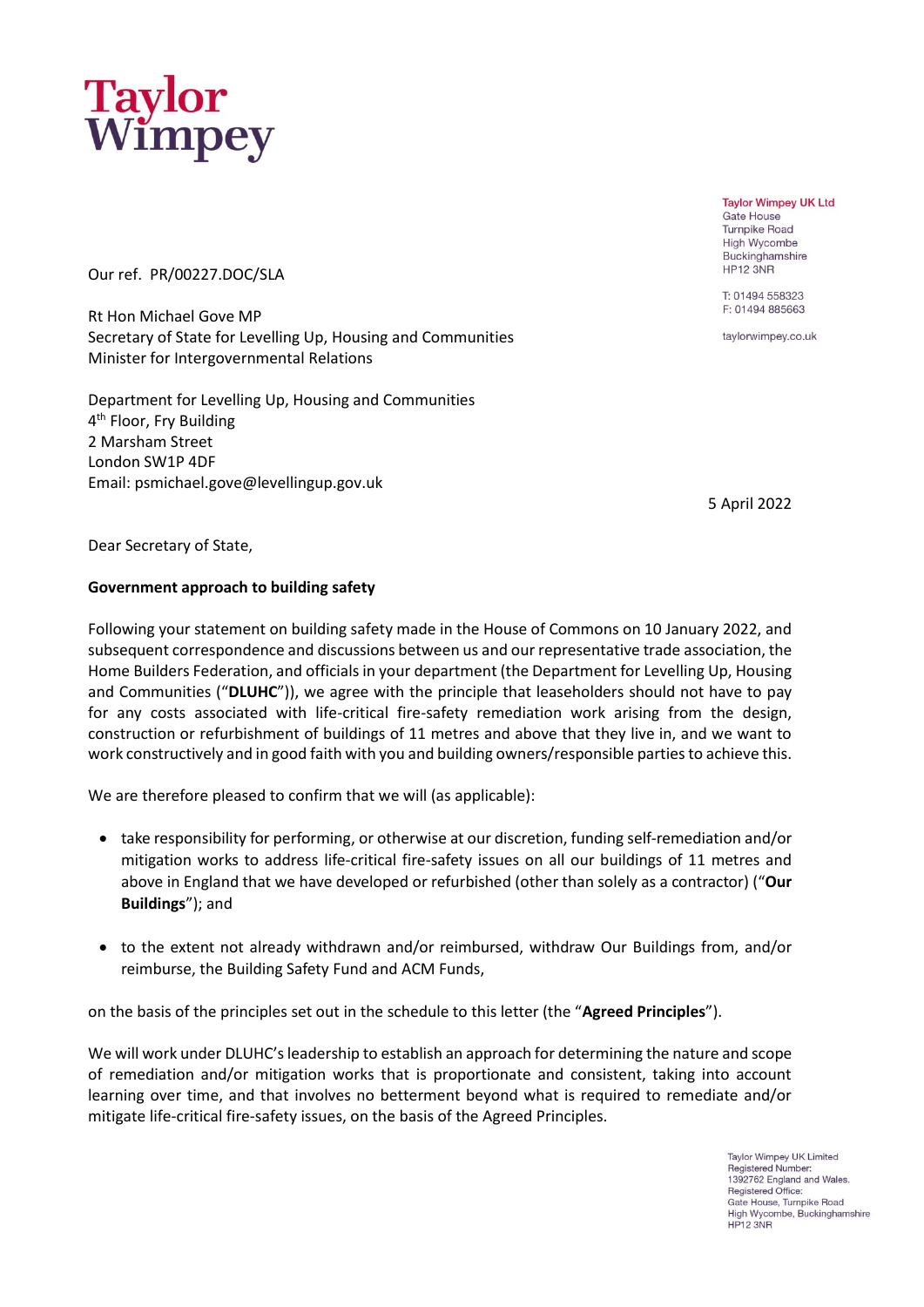

Our ref. PR/00227.DOC/SLA

Rt Hon Michael Gove MP Secretary of State for Levelling Up, Housing and Communities Minister for Intergovernmental Relations

Department for Levelling Up, Housing and Communities 4<sup>th</sup> Floor, Fry Building 2 Marsham Street London SW1P 4DF Email: psmichael.gove@levellingup.gov.uk

5 April 2022

Dear Secretary of State,

# **Government approach to building safety**

Following your statement on building safety made in the House of Commons on 10 January 2022, and subsequent correspondence and discussions between us and our representative trade association, the Home Builders Federation, and officials in your department (the Department for Levelling Up, Housing and Communities ("**DLUHC**")), we agree with the principle that leaseholders should not have to pay for any costs associated with life-critical fire-safety remediation work arising from the design, construction or refurbishment of buildings of 11 metres and above that they live in, and we want to work constructively and in good faith with you and building owners/responsible parties to achieve this.

We are therefore pleased to confirm that we will (as applicable):

- take responsibility for performing, or otherwise at our discretion, funding self-remediation and/or mitigation works to address life-critical fire-safety issues on all our buildings of 11 metres and above in England that we have developed or refurbished (other than solely as a contractor) ("**Our Buildings**"); and
- to the extent not already withdrawn and/or reimbursed, withdraw Our Buildings from, and/or reimburse, the Building Safety Fund and ACM Funds,

on the basis of the principles set out in the schedule to this letter (the "**Agreed Principles**").

We will work under DLUHC's leadership to establish an approach for determining the nature and scope of remediation and/or mitigation works that is proportionate and consistent, taking into account learning over time, and that involves no betterment beyond what is required to remediate and/or mitigate life-critical fire-safety issues, on the basis of the Agreed Principles.

> Taylor Wimney UK Limited Registered Number: 1392762 England and Wales.<br>Registered Office: Gate House, Turnpike Road High Wycombe, Buckinghamshire HP12 3NR

**Taylor Wimpey UK Ltd Gate House Turnpike Road High Wycombe** Buckinghamshire **HP12 3NR** 

T: 01494 558323 F: 01494 885663

taylorwimpey.co.uk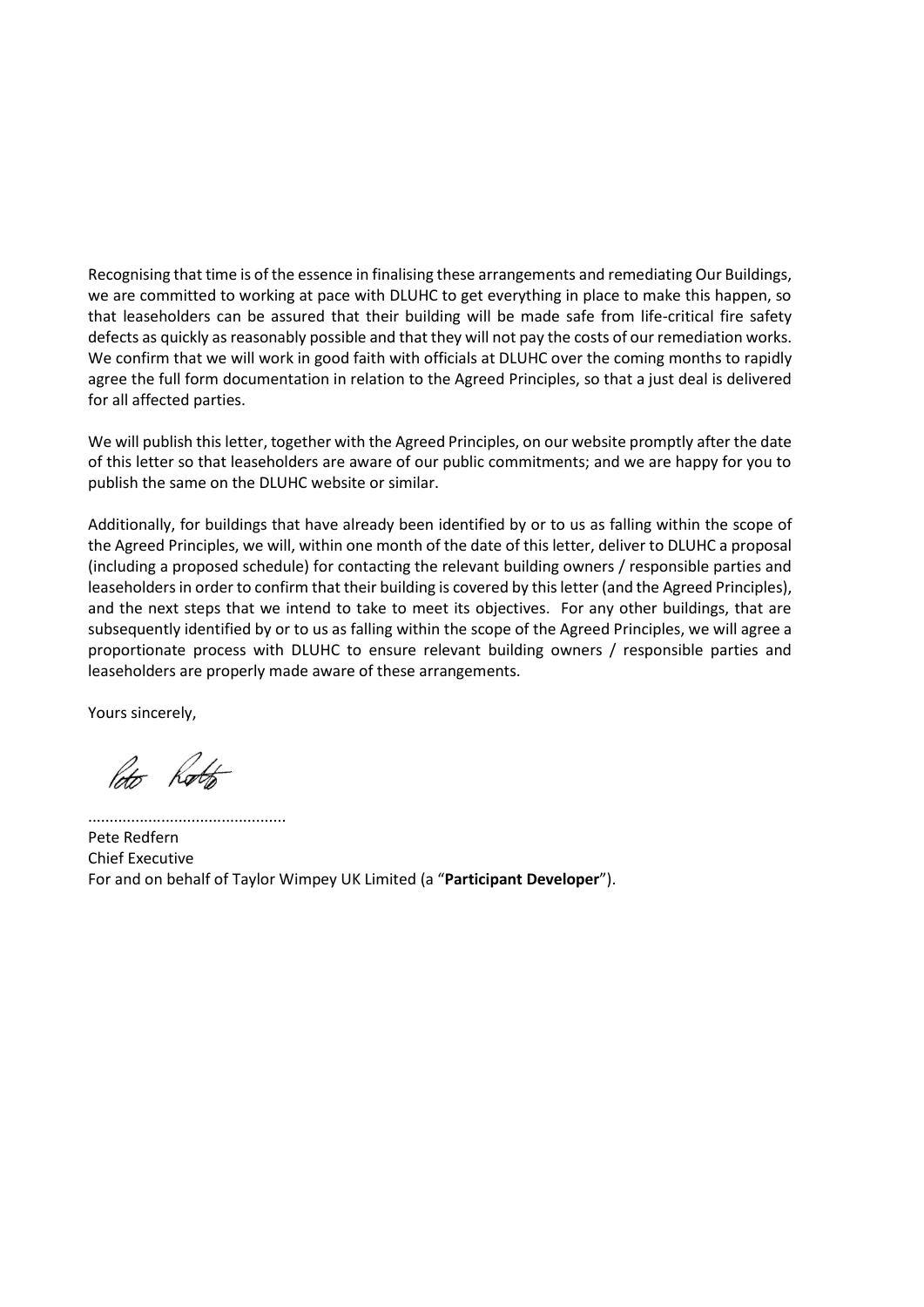Recognising that time is of the essence in finalising these arrangements and remediating Our Buildings, we are committed to working at pace with DLUHC to get everything in place to make this happen, so that leaseholders can be assured that their building will be made safe from life-critical fire safety defects as quickly as reasonably possible and that they will not pay the costs of our remediation works. We confirm that we will work in good faith with officials at DLUHC over the coming months to rapidly agree the full form documentation in relation to the Agreed Principles, so that a just deal is delivered for all affected parties.

We will publish this letter, together with the Agreed Principles, on our website promptly after the date of this letter so that leaseholders are aware of our public commitments; and we are happy for you to publish the same on the DLUHC website or similar.

Additionally, for buildings that have already been identified by or to us as falling within the scope of the Agreed Principles, we will, within one month of the date of this letter, deliver to DLUHC a proposal (including a proposed schedule) for contacting the relevant building owners / responsible parties and leaseholders in order to confirm that their building is covered by this letter (and the Agreed Principles), and the next steps that we intend to take to meet its objectives. For any other buildings, that are subsequently identified by or to us as falling within the scope of the Agreed Principles, we will agree a proportionate process with DLUHC to ensure relevant building owners / responsible parties and leaseholders are properly made aware of these arrangements.

Yours sincerely,

Poto Rotto

.............................................. Pete Redfern

Chief Executive For and on behalf of Taylor Wimpey UK Limited (a "**Participant Developer**").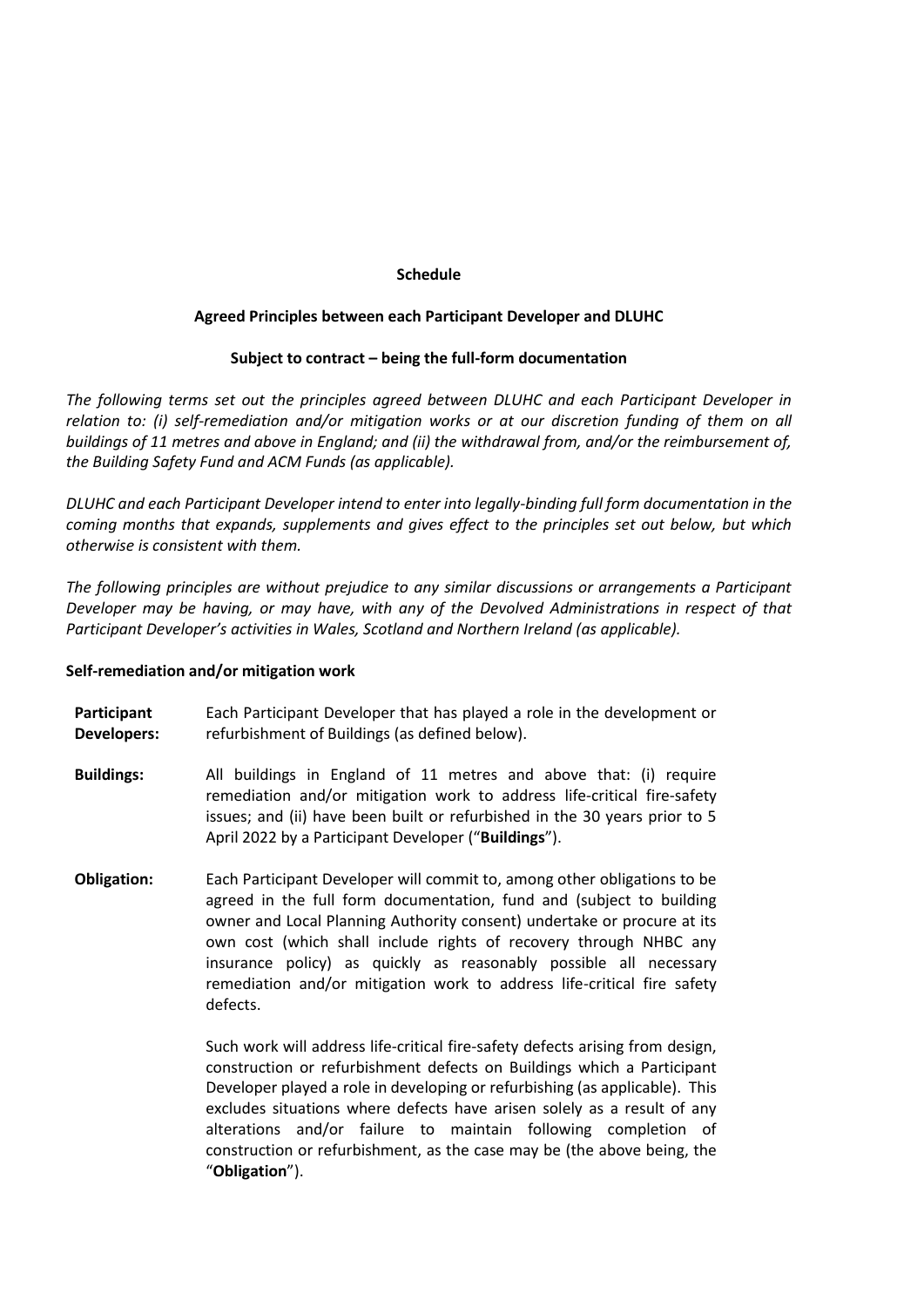### **Schedule**

## **Agreed Principles between each Participant Developer and DLUHC**

## **Subject to contract – being the full-form documentation**

*The following terms set out the principles agreed between DLUHC and each Participant Developer in relation to: (i) self-remediation and/or mitigation works or at our discretion funding of them on all buildings of 11 metres and above in England; and (ii) the withdrawal from, and/or the reimbursement of, the Building Safety Fund and ACM Funds (as applicable).* 

*DLUHC and each Participant Developer intend to enter into legally-binding full form documentation in the coming months that expands, supplements and gives effect to the principles set out below, but which otherwise is consistent with them.*

*The following principles are without prejudice to any similar discussions or arrangements a Participant Developer may be having, or may have, with any of the Devolved Administrations in respect of that Participant Developer's activities in Wales, Scotland and Northern Ireland (as applicable).* 

#### **Self-remediation and/or mitigation work**

- **Participant Developers:** Each Participant Developer that has played a role in the development or refurbishment of Buildings (as defined below).
- **Buildings:** All buildings in England of 11 metres and above that: (i) require remediation and/or mitigation work to address life-critical fire-safety issues; and (ii) have been built or refurbished in the 30 years prior to 5 April 2022 by a Participant Developer ("**Buildings**").
- **Obligation:** Each Participant Developer will commit to, among other obligations to be agreed in the full form documentation, fund and (subject to building owner and Local Planning Authority consent) undertake or procure at its own cost (which shall include rights of recovery through NHBC any insurance policy) as quickly as reasonably possible all necessary remediation and/or mitigation work to address life-critical fire safety defects.

Such work will address life-critical fire-safety defects arising from design, construction or refurbishment defects on Buildings which a Participant Developer played a role in developing or refurbishing (as applicable). This excludes situations where defects have arisen solely as a result of any alterations and/or failure to maintain following completion of construction or refurbishment, as the case may be (the above being, the "**Obligation**").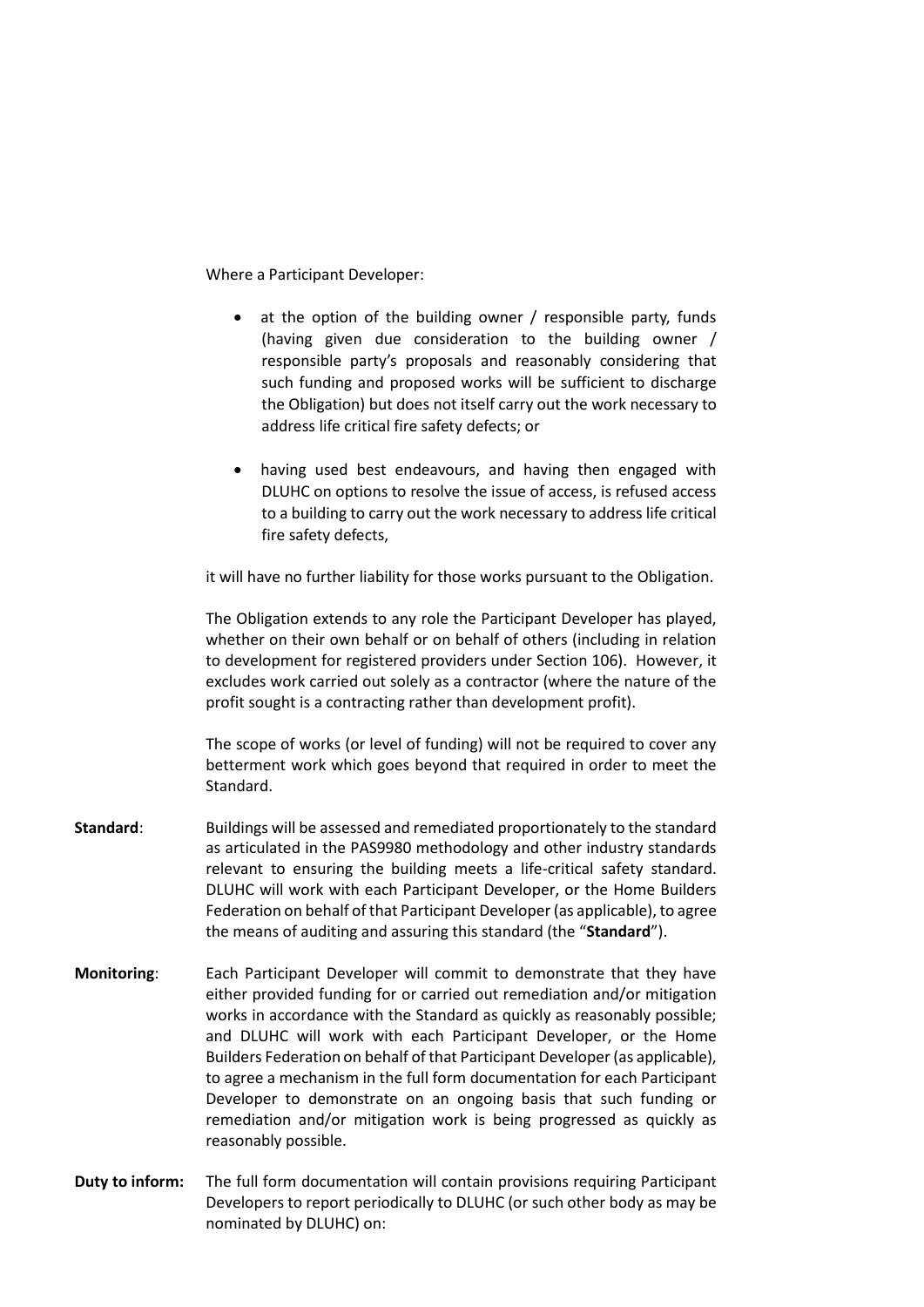Where a Participant Developer:

- at the option of the building owner / responsible party, funds (having given due consideration to the building owner / responsible party's proposals and reasonably considering that such funding and proposed works will be sufficient to discharge the Obligation) but does not itself carry out the work necessary to address life critical fire safety defects; or
- having used best endeavours, and having then engaged with DLUHC on options to resolve the issue of access, is refused access to a building to carry out the work necessary to address life critical fire safety defects,

it will have no further liability for those works pursuant to the Obligation.

The Obligation extends to any role the Participant Developer has played, whether on their own behalf or on behalf of others (including in relation to development for registered providers under Section 106). However, it excludes work carried out solely as a contractor (where the nature of the profit sought is a contracting rather than development profit).

The scope of works (or level of funding) will not be required to cover any betterment work which goes beyond that required in order to meet the Standard.

- **Standard**: Buildings will be assessed and remediated proportionately to the standard as articulated in the PAS9980 methodology and other industry standards relevant to ensuring the building meets a life-critical safety standard. DLUHC will work with each Participant Developer, or the Home Builders Federation on behalf of that Participant Developer (as applicable), to agree the means of auditing and assuring this standard (the "**Standard**").
- **Monitoring**: Each Participant Developer will commit to demonstrate that they have either provided funding for or carried out remediation and/or mitigation works in accordance with the Standard as quickly as reasonably possible; and DLUHC will work with each Participant Developer, or the Home Builders Federation on behalf of that Participant Developer (as applicable), to agree a mechanism in the full form documentation for each Participant Developer to demonstrate on an ongoing basis that such funding or remediation and/or mitigation work is being progressed as quickly as reasonably possible.
- **Duty to inform:** The full form documentation will contain provisions requiring Participant Developers to report periodically to DLUHC (or such other body as may be nominated by DLUHC) on: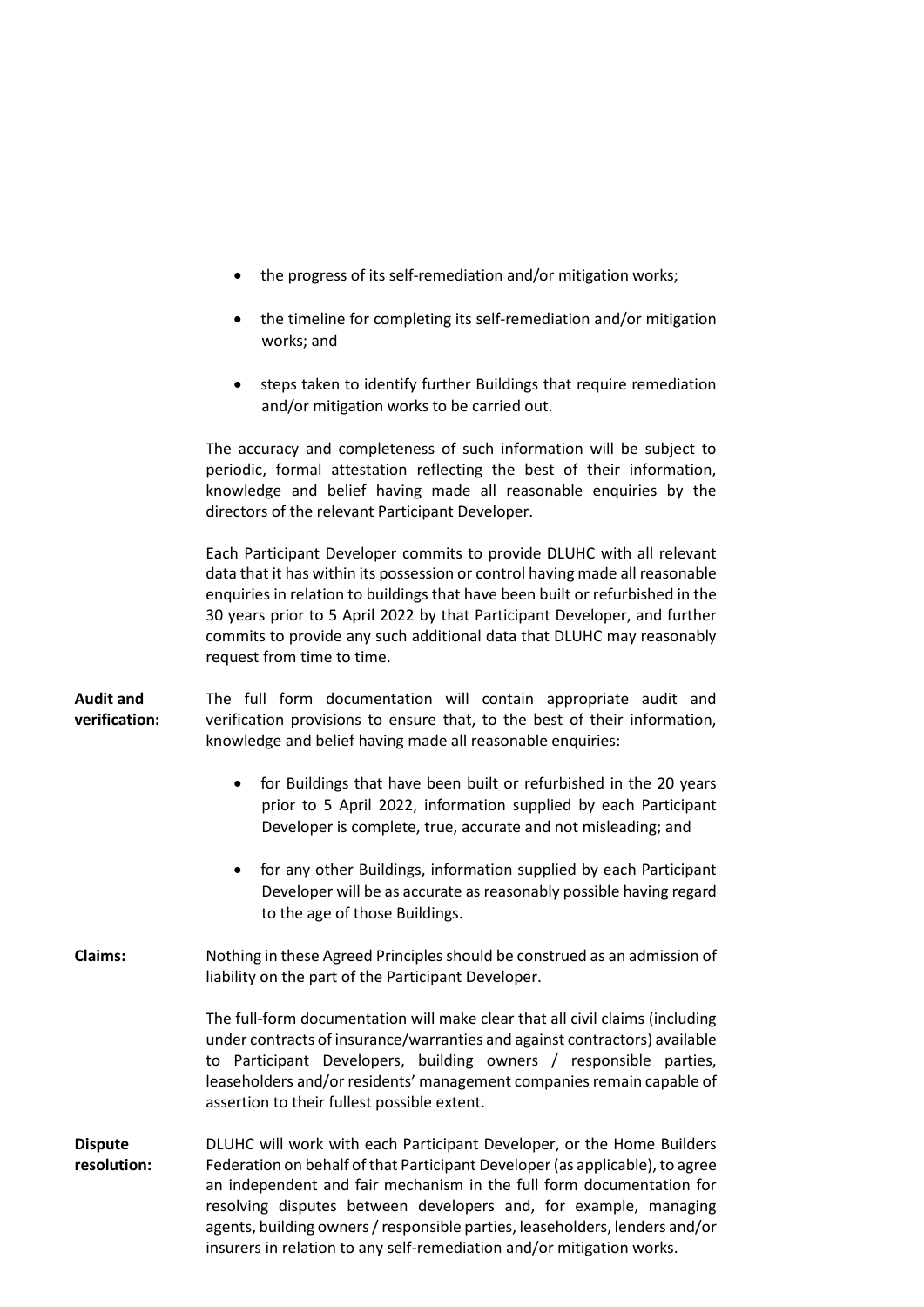|                                   | the progress of its self-remediation and/or mitigation works;                                                                                                                                                                                                                                                                                                                                                              |
|-----------------------------------|----------------------------------------------------------------------------------------------------------------------------------------------------------------------------------------------------------------------------------------------------------------------------------------------------------------------------------------------------------------------------------------------------------------------------|
|                                   | the timeline for completing its self-remediation and/or mitigation<br>works; and                                                                                                                                                                                                                                                                                                                                           |
|                                   | steps taken to identify further Buildings that require remediation<br>and/or mitigation works to be carried out.                                                                                                                                                                                                                                                                                                           |
|                                   | The accuracy and completeness of such information will be subject to<br>periodic, formal attestation reflecting the best of their information,<br>knowledge and belief having made all reasonable enquiries by the<br>directors of the relevant Participant Developer.                                                                                                                                                     |
|                                   | Each Participant Developer commits to provide DLUHC with all relevant<br>data that it has within its possession or control having made all reasonable<br>enquiries in relation to buildings that have been built or refurbished in the<br>30 years prior to 5 April 2022 by that Participant Developer, and further<br>commits to provide any such additional data that DLUHC may reasonably<br>request from time to time. |
| <b>Audit and</b><br>verification: | The full form documentation will contain appropriate audit and<br>verification provisions to ensure that, to the best of their information,<br>knowledge and belief having made all reasonable enquiries:                                                                                                                                                                                                                  |
|                                   | for Buildings that have been built or refurbished in the 20 years<br>prior to 5 April 2022, information supplied by each Participant<br>Developer is complete, true, accurate and not misleading; and                                                                                                                                                                                                                      |
|                                   | for any other Buildings, information supplied by each Participant<br>Developer will be as accurate as reasonably possible having regard<br>to the age of those Buildings.                                                                                                                                                                                                                                                  |
| <b>Claims:</b>                    | Nothing in these Agreed Principles should be construed as an admission of<br>liability on the part of the Participant Developer.                                                                                                                                                                                                                                                                                           |
|                                   | The full-form documentation will make clear that all civil claims (including<br>under contracts of insurance/warranties and against contractors) available<br>to Participant Developers, building owners / responsible parties,<br>leaseholders and/or residents' management companies remain capable of<br>assertion to their fullest possible extent.                                                                    |
| <b>Dispute</b><br>resolution:     | DLUHC will work with each Participant Developer, or the Home Builders<br>Federation on behalf of that Participant Developer (as applicable), to agree<br>an independent and fair mechanism in the full form documentation for<br>resolving disputes between developers and, for example, managing<br>agents, building owners / responsible parties, leaseholders, lenders and/or                                           |

insurers in relation to any self-remediation and/or mitigation works.